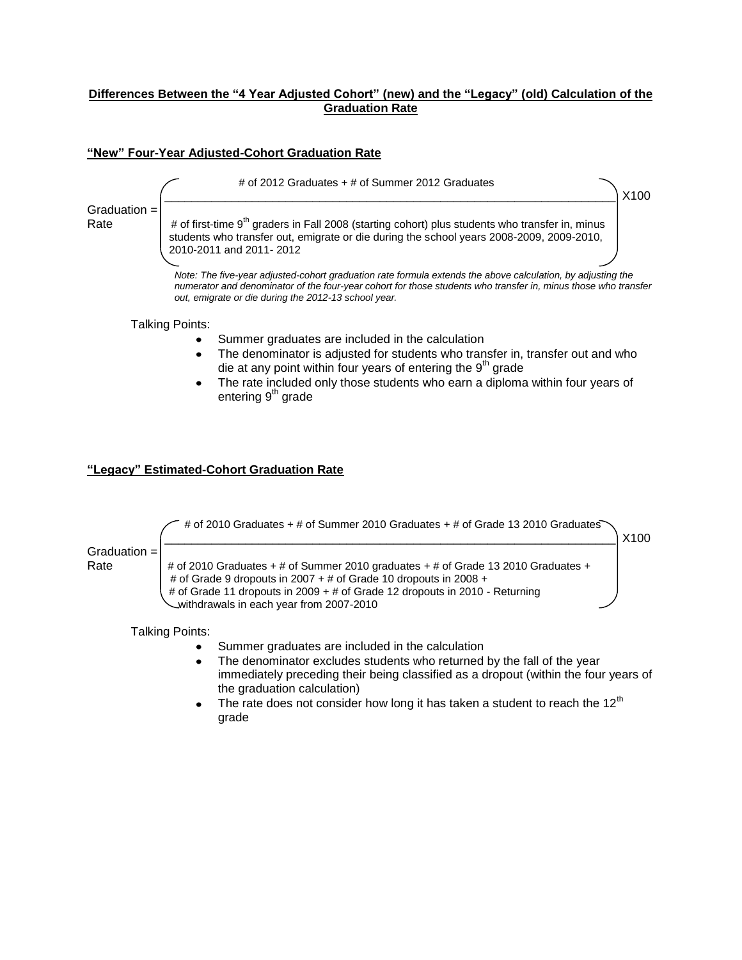# **Differences Between the "4 Year Adjusted Cohort" (new) and the "Legacy" (old) Calculation of the Graduation Rate**

### **"New" Four-Year Adjusted-Cohort Graduation Rate**



#### Talking Points:

- Summer graduates are included in the calculation
- The denominator is adjusted for students who transfer in, transfer out and who die at any point within four years of entering the  $9<sup>th</sup>$  grade
- The rate included only those students who earn a diploma within four years of entering  $9<sup>th</sup>$  grade

### **"Legacy" Estimated-Cohort Graduation Rate**



Talking Points:

- Summer graduates are included in the calculation
- The denominator excludes students who returned by the fall of the year immediately preceding their being classified as a dropout (within the four years of the graduation calculation)
- The rate does not consider how long it has taken a student to reach the  $12<sup>th</sup>$ grade